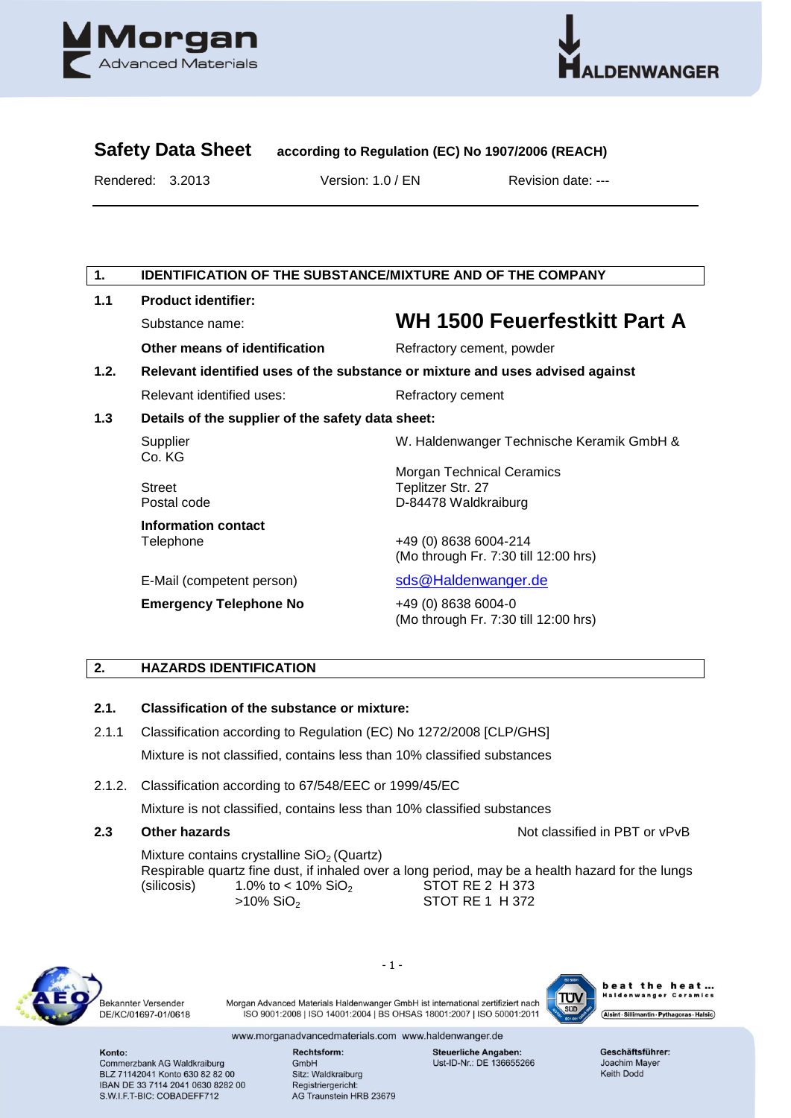



# **Safety Data Sheet according to Regulation (EC) No 1907/2006 (REACH)**

Rendered: 3.2013 Version: 1.0 / EN Revision date: ---

# **1. IDENTIFICATION OF THE SUBSTANCE/MIXTURE AND OF THE COMPANY**

| 1.1  | <b>Product identifier:</b>                                                    |                                                                               |  |  |
|------|-------------------------------------------------------------------------------|-------------------------------------------------------------------------------|--|--|
|      | Substance name:                                                               | <b>WH 1500 Feuerfestkitt Part A</b>                                           |  |  |
|      | Other means of identification                                                 | Refractory cement, powder                                                     |  |  |
| 1.2. | Relevant identified uses of the substance or mixture and uses advised against |                                                                               |  |  |
|      | Relevant identified uses:                                                     | Refractory cement                                                             |  |  |
| 1.3  | Details of the supplier of the safety data sheet:                             |                                                                               |  |  |
|      | Supplier<br>Co. KG                                                            | W. Haldenwanger Technische Keramik GmbH &                                     |  |  |
|      | <b>Street</b><br>Postal code                                                  | <b>Morgan Technical Ceramics</b><br>Teplitzer Str. 27<br>D-84478 Waldkraiburg |  |  |
|      | Information contact<br>Telephone                                              | +49 (0) 8638 6004-214<br>(Mo through Fr. 7:30 till 12:00 hrs)                 |  |  |
|      | E-Mail (competent person)                                                     | sds@Haldenwanger.de                                                           |  |  |
|      | <b>Emergency Telephone No</b>                                                 | +49 (0) 8638 6004-0<br>(Mo through Fr. 7:30 till 12:00 hrs)                   |  |  |

# **2. HAZARDS IDENTIFICATION**

#### **2.1. Classification of the substance or mixture:**

- 2.1.1 Classification according to Regulation (EC) No 1272/2008 [CLP/GHS] Mixture is not classified, contains less than 10% classified substances
- 2.1.2. Classification according to 67/548/EEC or 1999/45/EC

Mixture is not classified, contains less than 10% classified substances

**2.3 Other hazards**  Development **Contract Contract Contract Contract Contract Contract Contract Contract Contract Contract Contract Contract Contract Contract Contract Contract Contract Contract Contract Contract Contract** 

Mixture contains crystalline  $SiO<sub>2</sub>$  (Quartz) Respirable quartz fine dust, if inhaled over a long period, may be a health hazard for the lungs (silicosis)  $1.0\%$  to < 10%  $SiO<sub>2</sub>$  STOT RE 2 H 373 >10% SiO<sub>2</sub> STOT RE 1 H 372



Bekannter Versender DE/KC/01697-01/0618 - 1 -

Morgan Advanced Materials Haldenwanger GmbH ist international zertifiziert nach ISO 9001:2008 | ISO 14001:2004 | BS OHSAS 18001:2007 | ISO 50001:2011



heat the heat... wanger Ceramics ...<br>wanger Ceramics Alsint · Sillimantin · Pythagoras · Halsic

www.morganadvancedmaterials.com www.haldenwanger.de

Konto: Commerzbank AG Waldkraiburg BLZ 71142041 Konto 630 82 82 00 IBAN DE 33 7114 2041 0630 8282 00 S.W.I.F.T-BIC: COBADEFF712

Rechtsform: GmbH Sitz: Waldkraiburg Registriergericht: AG Traunstein HRB 23679 **Steuerliche Angaben:** Ust-ID-Nr.: DE 136655266 Geschäftsführer: Joachim Mayer Keith Dodd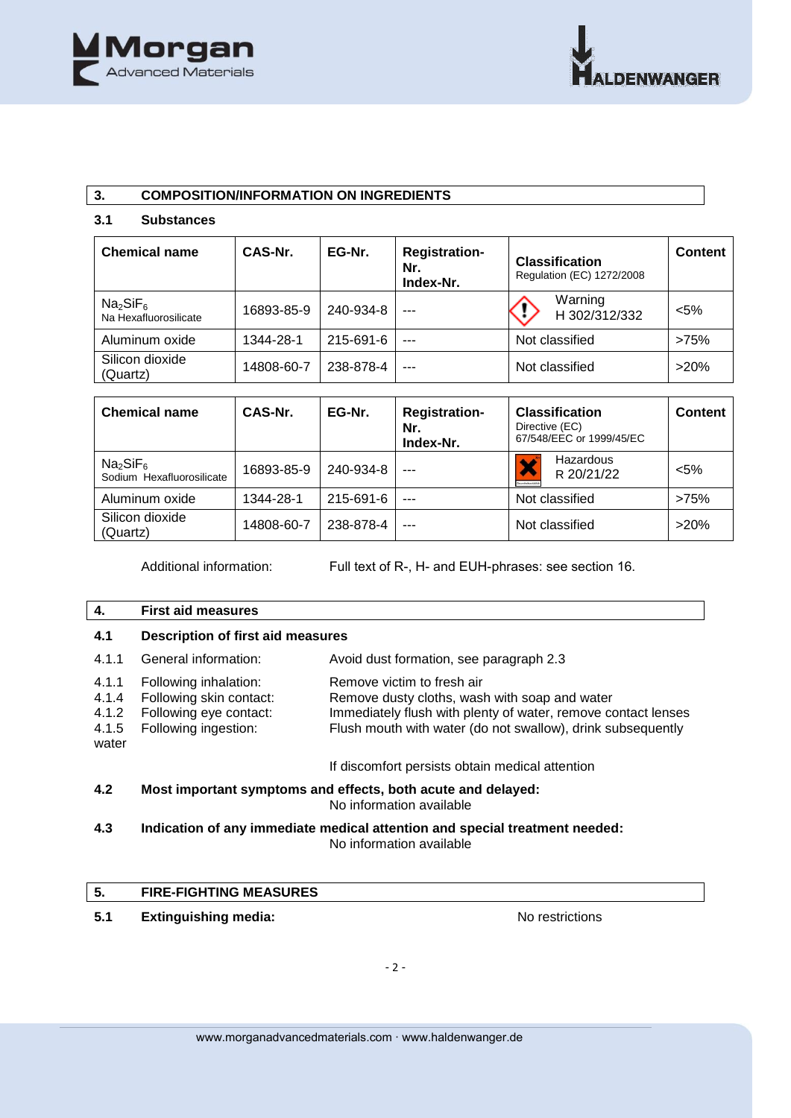

# **3. COMPOSITION/INFORMATION ON INGREDIENTS**

# **3.1 Substances**

| <b>Chemical name</b>                                      | CAS-Nr.    | EG-Nr.    | <b>Registration-</b><br>Nr.<br>Index-Nr. | <b>Classification</b><br>Regulation (EC) 1272/2008 | <b>Content</b> |
|-----------------------------------------------------------|------------|-----------|------------------------------------------|----------------------------------------------------|----------------|
| Na <sub>2</sub> SiF <sub>6</sub><br>Na Hexafluorosilicate | 16893-85-9 | 240-934-8 | ---                                      | Warning<br>H 302/312/332                           | $<$ 5%         |
| Aluminum oxide                                            | 1344-28-1  | 215-691-6 | $- - -$                                  | Not classified                                     | >75%           |
| Silicon dioxide<br>(Quartz)                               | 14808-60-7 | 238-878-4 | $- - -$                                  | Not classified                                     | >20%           |

| <b>Chemical name</b>                                          | CAS-Nr.    | EG-Nr.    | <b>Registration-</b><br>Nr.<br>Index-Nr. | <b>Classification</b><br>Directive (EC)<br>67/548/EEC or 1999/45/EC | <b>Content</b> |
|---------------------------------------------------------------|------------|-----------|------------------------------------------|---------------------------------------------------------------------|----------------|
| Na <sub>2</sub> SiF <sub>6</sub><br>Sodium Hexafluorosilicate | 16893-85-9 | 240-934-8 |                                          | Hazardous<br>R 20/21/22                                             | $< 5\%$        |
| Aluminum oxide                                                | 1344-28-1  | 215-691-6 | $- - -$                                  | Not classified                                                      | >75%           |
| Silicon dioxide<br>(Quartz)                                   | 14808-60-7 | 238-878-4 | $- - -$                                  | Not classified                                                      | >20%           |

Additional information: Full text of R-, H- and EUH-phrases: see section 16.

# **4. First aid measures**

| 4.1                                       | <b>Description of first aid measures</b>                                                           |                                                                                                                                                                                                             |
|-------------------------------------------|----------------------------------------------------------------------------------------------------|-------------------------------------------------------------------------------------------------------------------------------------------------------------------------------------------------------------|
| 4.1.1                                     | General information:                                                                               | Avoid dust formation, see paragraph 2.3                                                                                                                                                                     |
| 4.1.1<br>4.1.4<br>4.1.2<br>4.1.5<br>water | Following inhalation:<br>Following skin contact:<br>Following eye contact:<br>Following ingestion: | Remove victim to fresh air<br>Remove dusty cloths, wash with soap and water<br>Immediately flush with plenty of water, remove contact lenses<br>Flush mouth with water (do not swallow), drink subsequently |
|                                           |                                                                                                    | If discomfort persists obtain medical attention                                                                                                                                                             |
| 4.2                                       | Most important symptoms and effects, both acute and delayed:<br>No information available           |                                                                                                                                                                                                             |
| 4.3                                       | Indication of any immediate medical attention and special treatment needed:                        |                                                                                                                                                                                                             |

No information available

# **5. FIRE-FIGHTING MEASURES**

**5.1** Extinguishing media: **No restrictions**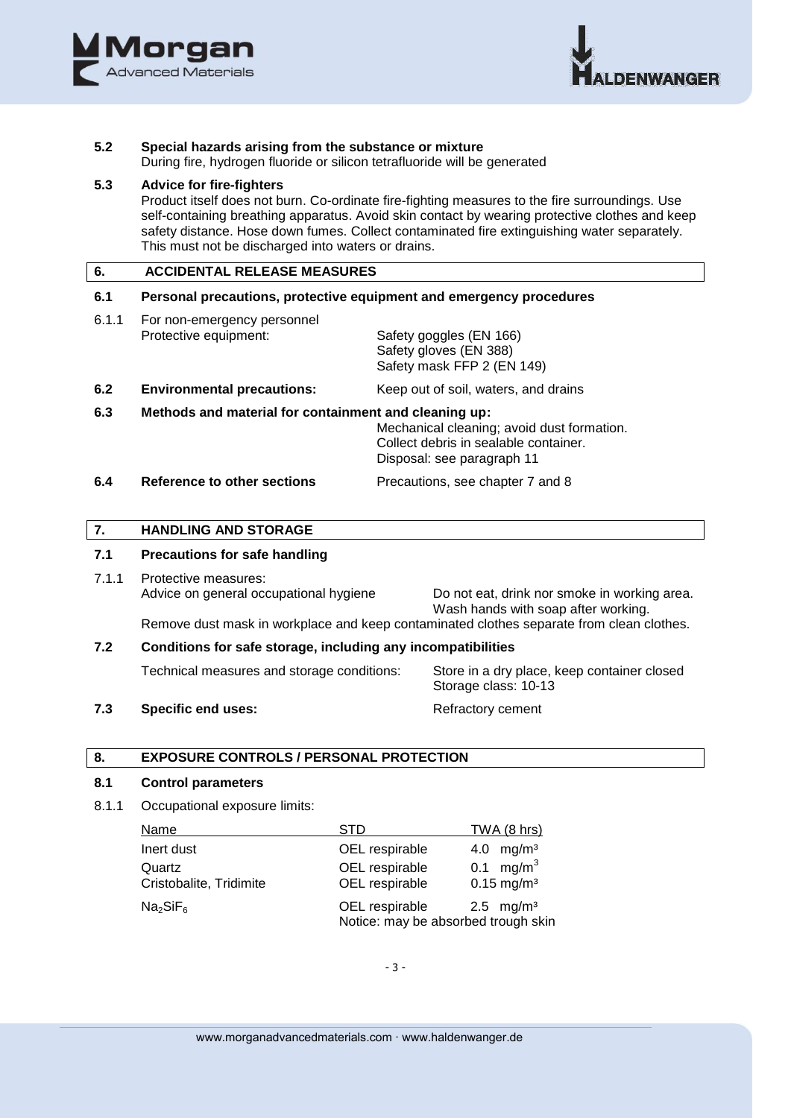



#### **5.2 Special hazards arising from the substance or mixture**

During fire, hydrogen fluoride or silicon tetrafluoride will be generated

# **5.3 Advice for fire-fighters**

Product itself does not burn. Co-ordinate fire-fighting measures to the fire surroundings. Use self-containing breathing apparatus. Avoid skin contact by wearing protective clothes and keep safety distance. Hose down fumes. Collect contaminated fire extinguishing water separately. This must not be discharged into waters or drains.

### **6. ACCIDENTAL RELEASE MEASURES**

# **6.1 Personal precautions, protective equipment and emergency procedures**

- 6.1.1 For non-emergency personnel Protective equipment: Safety goggles (EN 166) Safety gloves (EN 388) Safety mask FFP 2 (EN 149) **6.2 Environmental precautions:** Keep out of soil, waters, and drains
- 

# **6.3 Methods and material for containment and cleaning up:**

Mechanical cleaning; avoid dust formation. Collect debris in sealable container. Disposal: see paragraph 11

**6.4 Reference to other sections** Precautions, see chapter 7 and 8

#### **7. HANDLING AND STORAGE**

#### **7.1 Precautions for safe handling**

- 7.1.1 Protective measures: Advice on general occupational hygiene Do not eat, drink nor smoke in working area. Wash hands with soap after working. Remove dust mask in workplace and keep contaminated clothes separate from clean clothes.
- **7.2 Conditions for safe storage, including any incompatibilities** Technical measures and storage conditions:Store in a dry place, keep container closed Storage class: 10-13

### **7.3** Specific end uses: Refractory cement

#### **8. EXPOSURE CONTROLS / PERSONAL PROTECTION**

#### **8.1 Control parameters**

8.1.1 Occupational exposure limits:

| Name                              | <b>STD</b>                                            | TWA (8 hrs)                                       |
|-----------------------------------|-------------------------------------------------------|---------------------------------------------------|
| Inert dust                        | OEL respirable                                        | 4.0 $mg/m3$                                       |
| Quartz<br>Cristobalite, Tridimite | OEL respirable<br>OEL respirable                      | 0.1 mg/m <sup>3</sup><br>$0.15$ mg/m <sup>3</sup> |
| Na <sub>2</sub> SiF <sub>6</sub>  | OEL respirable<br>Notice: may be absorbed trough skin | 2.5 mg/m <sup>3</sup>                             |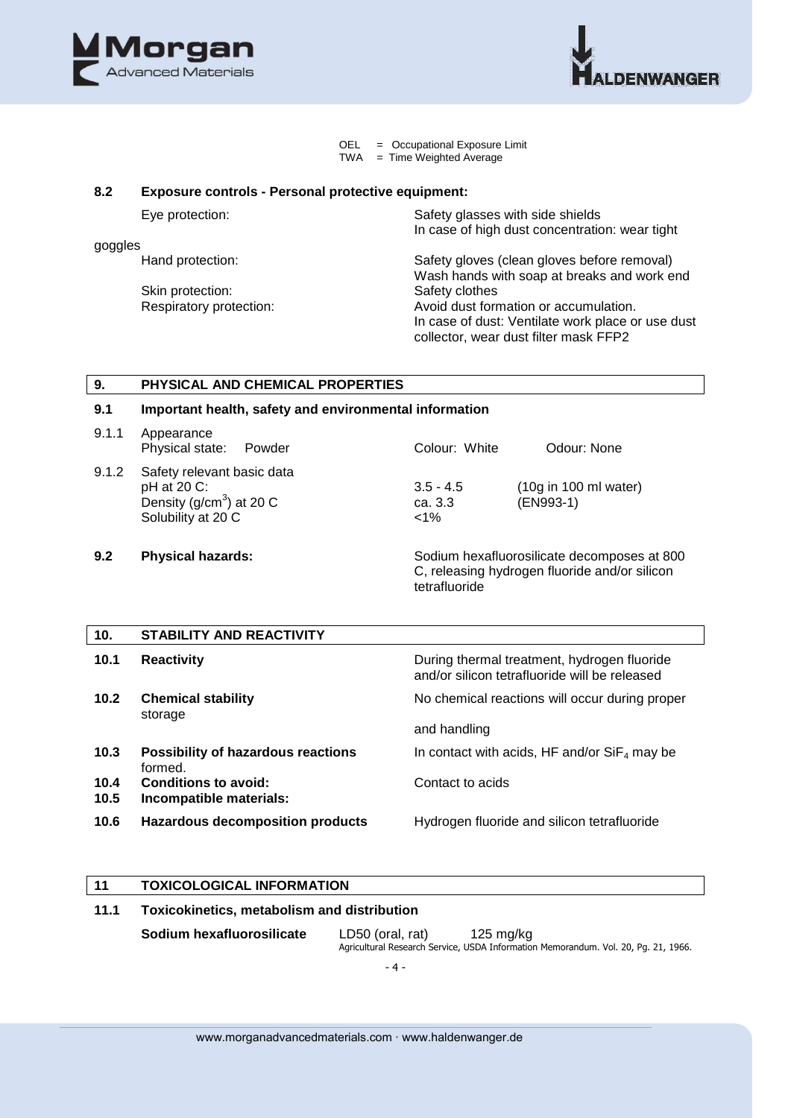



OEL = Occupational Exposure Limit<br>TWA = Time Weighted Average  $=$  Time Weighted Average

#### **8.2 Exposure controls - Personal protective equipment:**

| Eye protection: |
|-----------------|
|-----------------|

goggles

Skin protection:

Safety glasses with side shields In case of high dust concentration: wear tight

Hand protection: Safety gloves (clean gloves before removal) Wash hands with soap at breaks and work end<br>Safety clothes Respiratory protection: <br>  $\begin{aligned} \text{Avoid dust formation or accumulation.} \end{aligned}$ In case of dust: Ventilate work place or use dust collector, wear dust filter mask FFP2

#### **9. PHYSICAL AND CHEMICAL PROPERTIES**

#### **9.1 Important health, safety and environmental information**

| 9.1.1 | Appearance<br>Physical state:<br>Powder                                                        | Colour: White                     | Odour: None                                           |
|-------|------------------------------------------------------------------------------------------------|-----------------------------------|-------------------------------------------------------|
| 9.1.2 | Safety relevant basic data<br>pH at 20 C:<br>Density ( $g/cm3$ ) at 20 C<br>Solubility at 20 C | $3.5 - 4.5$<br>ca. 3.3<br>$< 1\%$ | $(10g \text{ in } 100 \text{ ml water})$<br>(EN993-1) |

**9.2 Physical hazards:** Sodium hexafluorosilicate decomposes at 800 C, releasing hydrogen fluoride and/or silicon tetrafluoride

| 10.          | <b>STABILITY AND REACTIVITY</b>                      |                                                                                              |
|--------------|------------------------------------------------------|----------------------------------------------------------------------------------------------|
| 10.1         | <b>Reactivity</b>                                    | During thermal treatment, hydrogen fluoride<br>and/or silicon tetrafluoride will be released |
| 10.2         | <b>Chemical stability</b>                            | No chemical reactions will occur during proper                                               |
|              | storage                                              | and handling                                                                                 |
| 10.3         | <b>Possibility of hazardous reactions</b><br>formed. | In contact with acids, HF and/or $SiF4$ may be                                               |
| 10.4<br>10.5 | Conditions to avoid:<br>Incompatible materials:      | Contact to acids                                                                             |
| 10.6         | <b>Hazardous decomposition products</b>              | Hydrogen fluoride and silicon tetrafluoride                                                  |

#### **11 TOXICOLOGICAL INFORMATION**

# **11.1 Toxicokinetics, metabolism and distribution**

**Sodium hexafluorosilicate** LD50 (oral, rat) 125 mg/kg Agricultural Research Service, USDA Information Memorandum. Vol. 20, Pg. 21, 1966.

- 4 -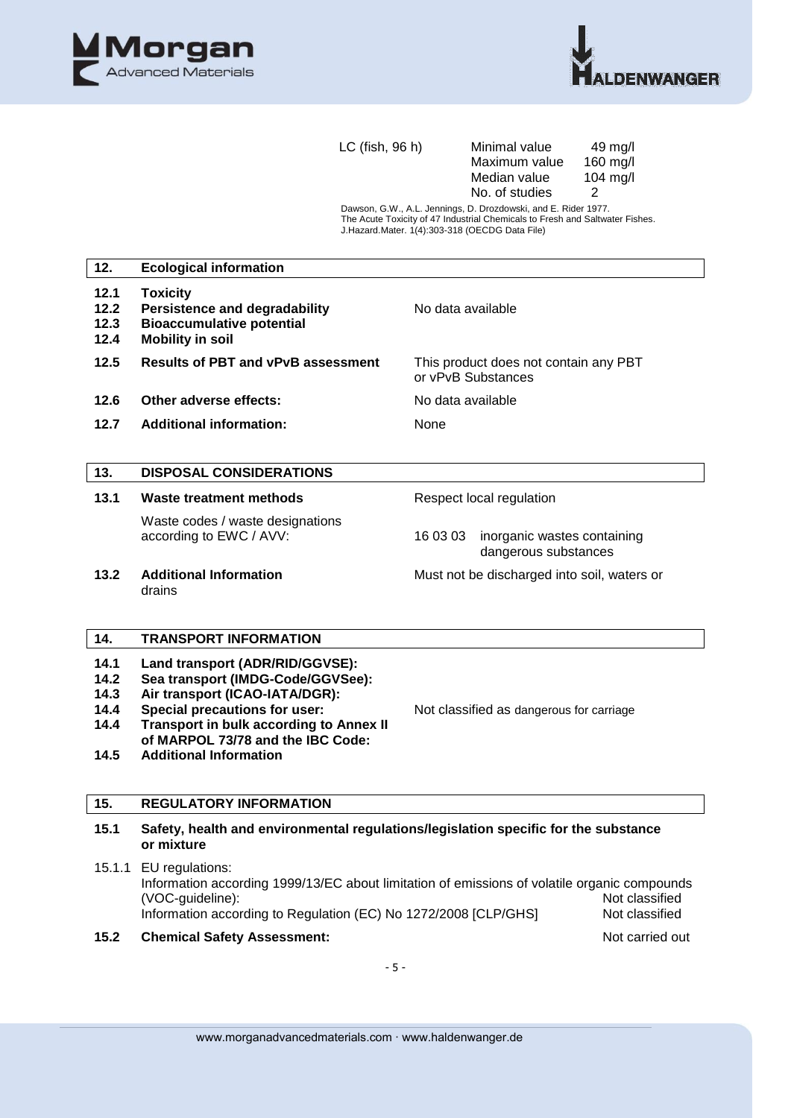



LC (fish, 96 h) Minimal value :49 mg/l<br>Maximum value :160 mg/l Maximum value 160 mg/l<br>Median value 104 mg/l Median value 10<br>No. of studies 2 No. of studies

Dawson, G.W., A.L. Jennings, D. Drozdowski, and E. Rider 1977. The Acute Toxicity of 47 Industrial Chemicals to Fresh and Saltwater Fishes. J.Hazard.Mater. 1(4):303-318 (OECDG Data File)

| 12.                                          | <b>Ecological information</b>                                                                                                                                                                                                                                   |                                                                                                                                  |
|----------------------------------------------|-----------------------------------------------------------------------------------------------------------------------------------------------------------------------------------------------------------------------------------------------------------------|----------------------------------------------------------------------------------------------------------------------------------|
| 12.1<br>12.2<br>12.3<br>12.4                 | <b>Toxicity</b><br><b>Persistence and degradability</b><br><b>Bioaccumulative potential</b><br><b>Mobility in soil</b>                                                                                                                                          | No data available                                                                                                                |
| $12.5$                                       | <b>Results of PBT and vPvB assessment</b>                                                                                                                                                                                                                       | This product does not contain any PBT<br>or vPvB Substances                                                                      |
| 12.6                                         | Other adverse effects:                                                                                                                                                                                                                                          | No data available                                                                                                                |
| 12.7                                         | <b>Additional information:</b>                                                                                                                                                                                                                                  | None                                                                                                                             |
| 13.                                          | <b>DISPOSAL CONSIDERATIONS</b>                                                                                                                                                                                                                                  |                                                                                                                                  |
| 13.1                                         | Waste treatment methods                                                                                                                                                                                                                                         | Respect local regulation                                                                                                         |
|                                              | Waste codes / waste designations<br>according to EWC / AVV:                                                                                                                                                                                                     | 16 03 03<br>inorganic wastes containing<br>dangerous substances                                                                  |
| 13.2                                         | <b>Additional Information</b><br>drains                                                                                                                                                                                                                         | Must not be discharged into soil, waters or                                                                                      |
| 14.                                          | <b>TRANSPORT INFORMATION</b>                                                                                                                                                                                                                                    |                                                                                                                                  |
| 14.1<br>14.2<br>14.3<br>14.4<br>14.4<br>14.5 | Land transport (ADR/RID/GGVSE):<br>Sea transport (IMDG-Code/GGVSee):<br>Air transport (ICAO-IATA/DGR):<br>Special precautions for user:<br><b>Transport in bulk according to Annex II</b><br>of MARPOL 73/78 and the IBC Code:<br><b>Additional Information</b> | Not classified as dangerous for carriage                                                                                         |
| 15.                                          | <b>REGULATORY INFORMATION</b>                                                                                                                                                                                                                                   |                                                                                                                                  |
| 15.1                                         | Safety, health and environmental regulations/legislation specific for the substance<br>or mixture                                                                                                                                                               |                                                                                                                                  |
| 15.1.1                                       | EU regulations:<br>(VOC-guideline):<br>Information according to Regulation (EC) No 1272/2008 [CLP/GHS]                                                                                                                                                          | Information according 1999/13/EC about limitation of emissions of volatile organic compounds<br>Not classified<br>Not classified |
| 15.2                                         | <b>Chemical Safety Assessment:</b>                                                                                                                                                                                                                              | Not carried out                                                                                                                  |
|                                              |                                                                                                                                                                                                                                                                 |                                                                                                                                  |

- 5 -